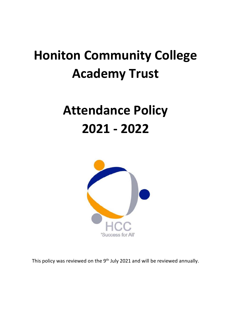# **Honiton Community College Academy Trust**

## **Attendance Policy 2021 - 2022**



This policy was reviewed on the 9<sup>th</sup> July 2021 and will be reviewed annually.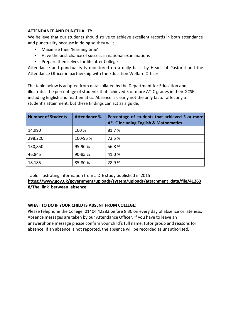#### **ATTENDANCE AND PUNCTUALITY**:

We believe that our students should strive to achieve excellent records in both attendance and punctuality because in doing so they will;

- Maximise their 'learning time'
- Have the best chance of success in national examinations
- Prepare themselves for life after College

Attendance and punctuality is monitored on a daily basis by Heads of Pastoral and the Attendance Officer in partnership with the Education Welfare Officer.

The table below is adapted from data collated by the Department for Education and illustrates the percentage of students that achieved 5 or more A\*-C grades in their GCSE's including English and mathematics. Absence is clearly not the only factor affecting a student's attainment, but these findings can act as a guide.

| <b>Number of Students</b> | <b>Attendance %</b> | Percentage of students that achieved 5 or more<br>A*- C Including English & Mathematics |
|---------------------------|---------------------|-----------------------------------------------------------------------------------------|
| 14,990                    | 100 %               | 81.7%                                                                                   |
| 298,220                   | 100-95 %            | 73.5 %                                                                                  |
| 130,850                   | 95-90 %             | 56.8%                                                                                   |
| 46,845                    | 90-85 %             | 41.0%                                                                                   |
| 18,185                    | 85-80%              | 28.9%                                                                                   |

Table illustrating information from a DfE study published in 2015 **[https://www.gov.uk/government/uploads/system/uploads/attachment\\_data/file/41263](https://www.gov.uk/government/uploads/system/uploads/attachment_data/file/412638/The_link_between_absence)  [8/The\\_link\\_between\\_absence](https://www.gov.uk/government/uploads/system/uploads/attachment_data/file/412638/The_link_between_absence)**

#### **WHAT TO DO IF YOUR CHILD IS ABSENT FROM COLLEGE:**

Please telephone the College, 01404 42283 before 8.30 on every day of absence or lateness. Absence messages are taken by our Attendance Officer. If you have to leave an answerphone message please confirm your child's full name, tutor group and reasons for absence. If an absence is not reported, the absence will be recorded as unauthorised.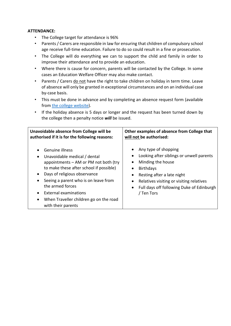#### **ATTENDANCE:**

- The College target for attendance is 96%
- Parents / Carers are responsible in law for ensuring that children of compulsory school age receive full-time education. Failure to do so could result in a fine or prosecution.
- The College will do everything we can to support the child and family in order to improve their attendance and to provide an education.
- Where there is cause for concern, parents will be contacted by the College. In some cases an Education Welfare Officer may also make contact.
- Parents / Carers do not have the right to take children on holiday in term time. Leave of absence will only be granted in exceptional circumstances and on an individual case by-case basis.
- This must be done in advance and by completing an absence request form (available from the [college website\)](https://359d2952-cb6b-4a9f-9cb5-ea52830aa703.filesusr.com/ugd/a2c6f4_a79384aed9a544e981f9773f780b42f4.pdf).
- If the holiday absence is 5 days or longer and the request has been turned down by the college then a penalty notice *will* be issued.

| Unavoidable absence from College will be                                                                                                                                                                                                                                                                                                                                          | Other examples of absence from College that                                                                                                                                                                                                                                                                  |
|-----------------------------------------------------------------------------------------------------------------------------------------------------------------------------------------------------------------------------------------------------------------------------------------------------------------------------------------------------------------------------------|--------------------------------------------------------------------------------------------------------------------------------------------------------------------------------------------------------------------------------------------------------------------------------------------------------------|
| authorised if it is for the following reasons:                                                                                                                                                                                                                                                                                                                                    | will not be authorised:                                                                                                                                                                                                                                                                                      |
| Genuine illness<br>Unavoidable medical / dental<br>$\bullet$<br>appointments – AM or PM not both (try<br>to make these after school if possible)<br>Days of religious observance<br>$\bullet$<br>Seeing a parent who is on leave from<br>٠<br>the armed forces<br>External examinations<br>$\bullet$<br>When Traveller children go on the road<br>$\bullet$<br>with their parents | Any type of shopping<br>$\bullet$<br>Looking after siblings or unwell parents<br>٠<br>Minding the house<br>٠<br><b>Birthdays</b><br>$\bullet$<br>Resting after a late night<br>$\bullet$<br>Relatives visiting or visiting relatives<br>Full days off following Duke of Edinburgh<br>$\bullet$<br>/ Ten Tors |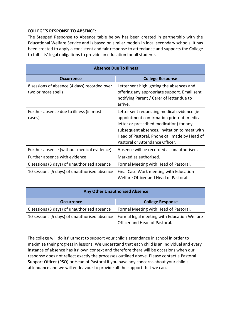#### **COLLEGE'S RESPONSE TO ABSENCE:**

The Stepped Response to Absence table below has been created in partnership with the Educational Welfare Service and is based on similar models in local secondary schools. It has been created to apply a consistent and fair response to attendance and supports the College to fulfil its' legal obligations to provide an education for all students.

| <b>Absence Due To Illness</b>                                      |                                                                                                                                                                                                                                                                          |  |  |
|--------------------------------------------------------------------|--------------------------------------------------------------------------------------------------------------------------------------------------------------------------------------------------------------------------------------------------------------------------|--|--|
| <b>Occurrence</b>                                                  | <b>College Response</b>                                                                                                                                                                                                                                                  |  |  |
| 8 sessions of absence (4 days) recorded over<br>two or more spells | Letter sent highlighting the absences and<br>offering any appropriate support. Email sent<br>notifying Parent / Carer of letter due to<br>arrive.                                                                                                                        |  |  |
| Further absence due to illness (in most<br>cases)                  | Letter sent requesting medical evidence (ie<br>appointment confirmation printout, medical<br>letter or prescribed medication) for any<br>subsequent absences. Invitation to meet with<br>Head of Pastoral. Phone call made by Head of<br>Pastoral or Attendance Officer. |  |  |
| Further absence (without medical evidence)                         | Absence will be recorded as unauthorised.                                                                                                                                                                                                                                |  |  |
| Further absence with evidence                                      | Marked as authorised.                                                                                                                                                                                                                                                    |  |  |
| 6 sessions (3 days) of unauthorised absence                        | Formal Meeting with Head of Pastoral.                                                                                                                                                                                                                                    |  |  |
| 10 sessions (5 days) of unauthorised absence                       | Final Case Work meeting with Education<br>Welfare Officer and Head of Pastoral.                                                                                                                                                                                          |  |  |

#### **Any Other Unauthorised Absence**

| <b>Occurrence</b>                            | <b>College Response</b>                     |  |  |
|----------------------------------------------|---------------------------------------------|--|--|
| 6 sessions (3 days) of unauthorised absence  | Formal Meeting with Head of Pastoral.       |  |  |
| 10 sessions (5 days) of unauthorised absence | Formal legal meeting with Education Welfare |  |  |
|                                              | Officer and Head of Pastoral.               |  |  |

The college will do its' utmost to support your child's attendance in school in order to maximise their progress in lessons. We understand that each child is an individual and every instance of absence has its' own context and therefore there will be occasions when our response does not reflect exactly the processes outlined above. Please contact a Pastoral Support Officer (PSO) or Head of Pastoral if you have any concerns about your child's attendance and we will endeavour to provide all the support that we can.